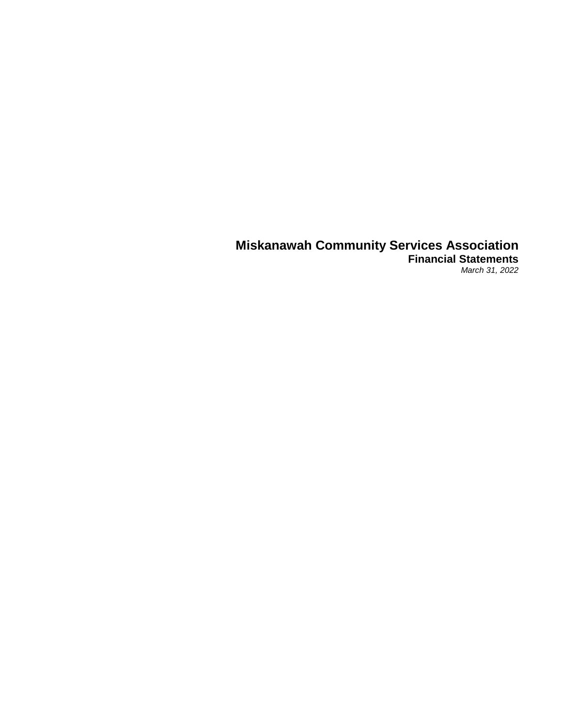### **Miskanawah Community Services Association Financial Statements** *March 31, 2022*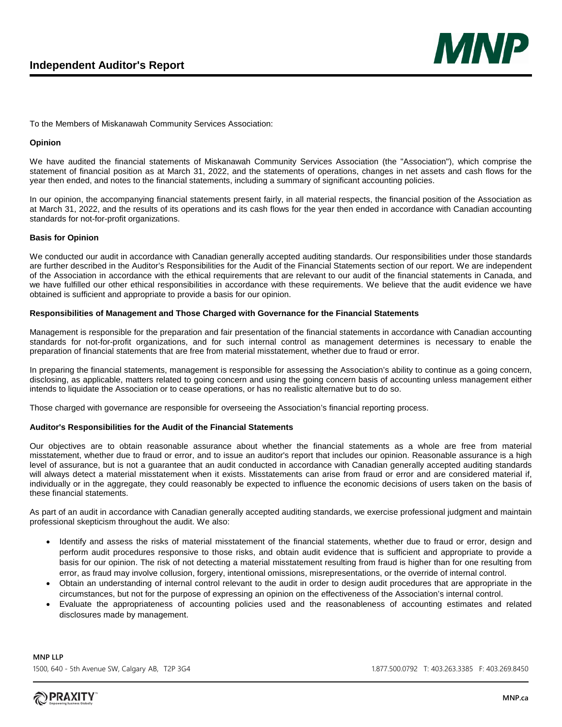

To the Members of Miskanawah Community Services Association:

#### **Opinion**

We have audited the financial statements of Miskanawah Community Services Association (the "Association"), which comprise the statement of financial position as at March 31, 2022, and the statements of operations, changes in net assets and cash flows for the year then ended, and notes to the financial statements, including a summary of significant accounting policies.

In our opinion, the accompanying financial statements present fairly, in all material respects, the financial position of the Association as at March 31, 2022, and the results of its operations and its cash flows for the year then ended in accordance with Canadian accounting standards for not-for-profit organizations.

#### **Basis for Opinion**

We conducted our audit in accordance with Canadian generally accepted auditing standards. Our responsibilities under those standards are further described in the Auditor's Responsibilities for the Audit of the Financial Statements section of our report. We are independent of the Association in accordance with the ethical requirements that are relevant to our audit of the financial statements in Canada, and we have fulfilled our other ethical responsibilities in accordance with these requirements. We believe that the audit evidence we have obtained is sufficient and appropriate to provide a basis for our opinion.

#### **Responsibilities of Management and Those Charged with Governance for the Financial Statements**

Management is responsible for the preparation and fair presentation of the financial statements in accordance with Canadian accounting standards for not-for-profit organizations, and for such internal control as management determines is necessary to enable the preparation of financial statements that are free from material misstatement, whether due to fraud or error.

In preparing the financial statements, management is responsible for assessing the Association's ability to continue as a going concern, disclosing, as applicable, matters related to going concern and using the going concern basis of accounting unless management either intends to liquidate the Association or to cease operations, or has no realistic alternative but to do so.

Those charged with governance are responsible for overseeing the Association's financial reporting process.

#### **Auditor's Responsibilities for the Audit of the Financial Statements**

Our objectives are to obtain reasonable assurance about whether the financial statements as a whole are free from material misstatement, whether due to fraud or error, and to issue an auditor's report that includes our opinion. Reasonable assurance is a high level of assurance, but is not a guarantee that an audit conducted in accordance with Canadian generally accepted auditing standards will always detect a material misstatement when it exists. Misstatements can arise from fraud or error and are considered material if, individually or in the aggregate, they could reasonably be expected to influence the economic decisions of users taken on the basis of these financial statements.

As part of an audit in accordance with Canadian generally accepted auditing standards, we exercise professional judgment and maintain professional skepticism throughout the audit. We also:

- Identify and assess the risks of material misstatement of the financial statements, whether due to fraud or error, design and perform audit procedures responsive to those risks, and obtain audit evidence that is sufficient and appropriate to provide a basis for our opinion. The risk of not detecting a material misstatement resulting from fraud is higher than for one resulting from error, as fraud may involve collusion, forgery, intentional omissions, misrepresentations, or the override of internal control.
- Obtain an understanding of internal control relevant to the audit in order to design audit procedures that are appropriate in the circumstances, but not for the purpose of expressing an opinion on the effectiveness of the Association's internal control.
- Evaluate the appropriateness of accounting policies used and the reasonableness of accounting estimates and related disclosures made by management.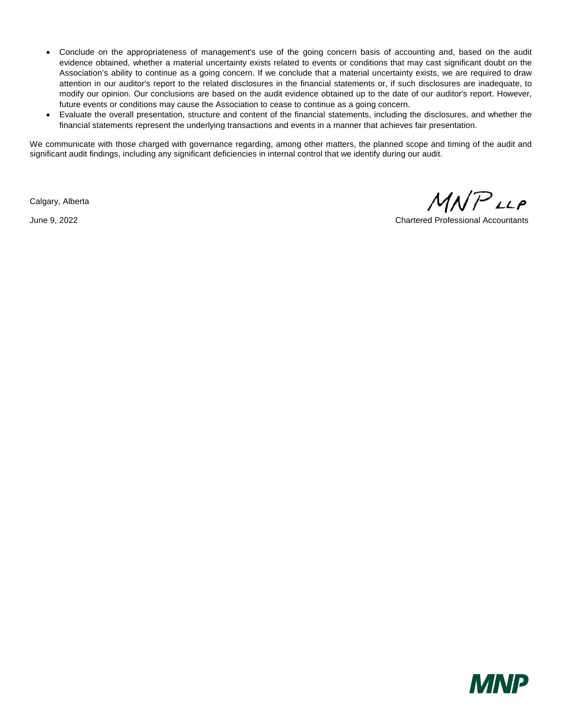- Conclude on the appropriateness of management's use of the going concern basis of accounting and, based on the audit evidence obtained, whether a material uncertainty exists related to events or conditions that may cast significant doubt on the Association's ability to continue as a going concern. If we conclude that a material uncertainty exists, we are required to draw attention in our auditor's report to the related disclosures in the financial statements or, if such disclosures are inadequate, to modify our opinion. Our conclusions are based on the audit evidence obtained up to the date of our auditor's report. However, future events or conditions may cause the Association to cease to continue as a going concern.
- Evaluate the overall presentation, structure and content of the financial statements, including the disclosures, and whether the financial statements represent the underlying transactions and events in a manner that achieves fair presentation.

We communicate with those charged with governance regarding, among other matters, the planned scope and timing of the audit and significant audit findings, including any significant deficiencies in internal control that we identify during our audit.

Calgary, Alberta

 $MNP$ LLP

June 9, 2022 Chartered Professional Accountants

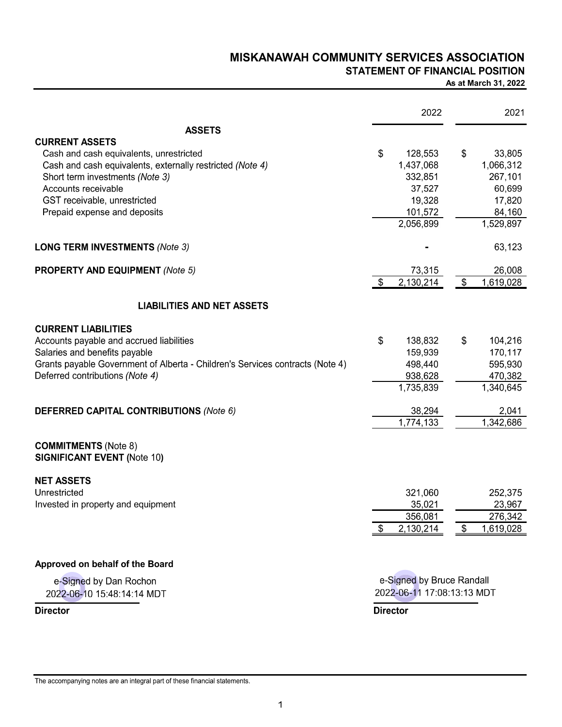## MISKANAWAH COMMUNITY SERVICES ASSOCIATION **STATEMENT OF FINANCIAL POSITION**

#### As at March 31, 2022

|                                                                               | 2022                       | 2021                    |
|-------------------------------------------------------------------------------|----------------------------|-------------------------|
| <b>ASSETS</b>                                                                 |                            |                         |
| <b>CURRENT ASSETS</b>                                                         |                            |                         |
| Cash and cash equivalents, unrestricted                                       | \$<br>128,553              | \$<br>33,805            |
| Cash and cash equivalents, externally restricted (Note 4)                     | 1,437,068                  | 1,066,312               |
| Short term investments (Note 3)                                               | 332,851                    | 267,101                 |
| Accounts receivable                                                           | 37,527                     | 60,699                  |
| GST receivable, unrestricted                                                  | 19,328                     | 17,820                  |
| Prepaid expense and deposits                                                  | 101,572                    | 84,160                  |
|                                                                               | 2,056,899                  | 1,529,897               |
| <b>LONG TERM INVESTMENTS (Note 3)</b>                                         |                            | 63,123                  |
| <b>PROPERTY AND EQUIPMENT (Note 5)</b>                                        | 73,315                     | 26,008                  |
|                                                                               | 2,130,214<br>\$            | $\sqrt{2}$<br>1,619,028 |
| <b>LIABILITIES AND NET ASSETS</b>                                             |                            |                         |
| <b>CURRENT LIABILITIES</b>                                                    |                            |                         |
| Accounts payable and accrued liabilities                                      | \$<br>138,832              | \$<br>104,216           |
| Salaries and benefits payable                                                 | 159,939                    | 170,117                 |
| Grants payable Government of Alberta - Children's Services contracts (Note 4) | 498,440                    | 595,930                 |
| Deferred contributions (Note 4)                                               | 938,628                    | 470,382                 |
|                                                                               | 1,735,839                  | 1,340,645               |
| <b>DEFERRED CAPITAL CONTRIBUTIONS (Note 6)</b>                                | 38,294                     | 2,041                   |
|                                                                               | 1,774,133                  | 1,342,686               |
| <b>COMMITMENTS (Note 8)</b>                                                   |                            |                         |
| <b>SIGNIFICANT EVENT (Note 10)</b>                                            |                            |                         |
| <b>NET ASSETS</b>                                                             |                            |                         |
| Unrestricted                                                                  | 321,060                    | 252,375                 |
| Invested in property and equipment                                            | 35,021                     | 23,967                  |
|                                                                               | 356,081                    | 276,342                 |
|                                                                               | 2,130,214<br>S             | \$<br>1,619,028         |
| Approved on behalf of the Board                                               |                            |                         |
| e-Signed by Dan Rochon                                                        | e-Signed by Bruce Randall  |                         |
| 2022-06-10 15:48:14:14 MDT                                                    | 2022-06-11 17:08:13:13 MDT |                         |
| <b>Director</b>                                                               | <b>Director</b>            |                         |
|                                                                               |                            |                         |

The accompanying notes are an integral part of these financial statements.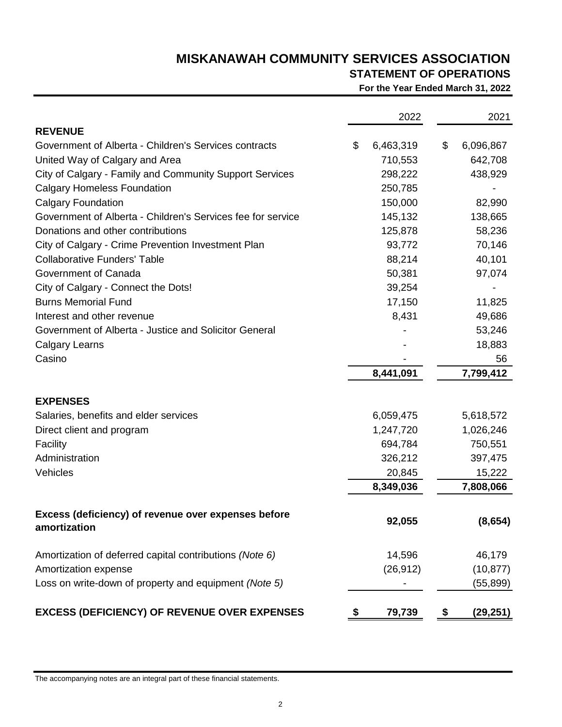## **STATEMENT OF OPERATIONS**

**For the Year Ended March 31, 2022**

|                                                                     | 2022            | 2021            |
|---------------------------------------------------------------------|-----------------|-----------------|
| <b>REVENUE</b>                                                      |                 |                 |
| Government of Alberta - Children's Services contracts               | \$<br>6,463,319 | \$<br>6,096,867 |
| United Way of Calgary and Area                                      | 710,553         | 642,708         |
| City of Calgary - Family and Community Support Services             | 298,222         | 438,929         |
| <b>Calgary Homeless Foundation</b>                                  | 250,785         |                 |
| <b>Calgary Foundation</b>                                           | 150,000         | 82,990          |
| Government of Alberta - Children's Services fee for service         | 145,132         | 138,665         |
| Donations and other contributions                                   | 125,878         | 58,236          |
| City of Calgary - Crime Prevention Investment Plan                  | 93,772          | 70,146          |
| <b>Collaborative Funders' Table</b>                                 | 88,214          | 40,101          |
| Government of Canada                                                | 50,381          | 97,074          |
| City of Calgary - Connect the Dots!                                 | 39,254          |                 |
| <b>Burns Memorial Fund</b>                                          | 17,150          | 11,825          |
| Interest and other revenue                                          | 8,431           | 49,686          |
| Government of Alberta - Justice and Solicitor General               |                 | 53,246          |
| <b>Calgary Learns</b>                                               |                 | 18,883          |
| Casino                                                              |                 | 56              |
|                                                                     | 8,441,091       | 7,799,412       |
| <b>EXPENSES</b>                                                     |                 |                 |
| Salaries, benefits and elder services                               | 6,059,475       | 5,618,572       |
| Direct client and program                                           | 1,247,720       | 1,026,246       |
| Facility                                                            | 694,784         | 750,551         |
| Administration                                                      | 326,212         | 397,475         |
| Vehicles                                                            | 20,845          | 15,222          |
|                                                                     | 8,349,036       | 7,808,066       |
| Excess (deficiency) of revenue over expenses before<br>amortization | 92,055          | (8,654)         |
|                                                                     |                 |                 |
| Amortization of deferred capital contributions (Note 6)             | 14,596          | 46,179          |
| Amortization expense                                                | (26, 912)       | (10, 877)       |
| Loss on write-down of property and equipment (Note 5)               |                 | (55, 899)       |
| <b>EXCESS (DEFICIENCY) OF REVENUE OVER EXPENSES</b>                 | \$<br>79,739    | \$<br>(29, 251) |

The accompanying notes are an integral part of these financial statements.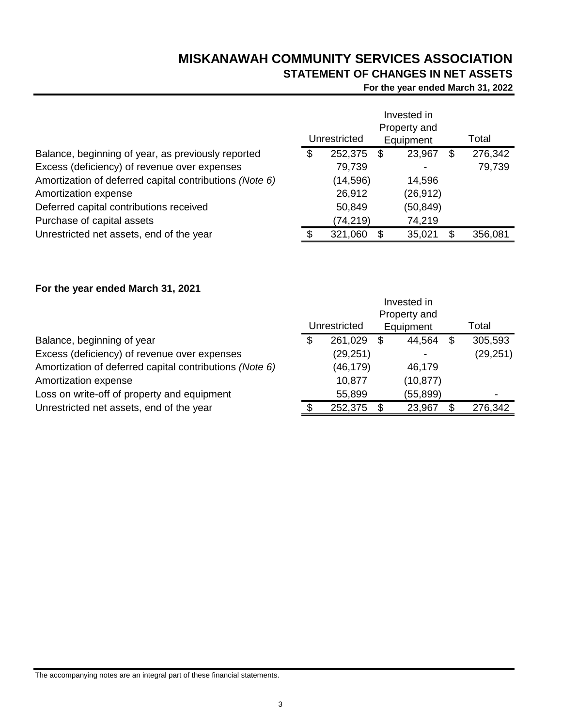# **STATEMENT OF CHANGES IN NET ASSETS**

**For the year ended March 31, 2022**

|                                                         | Invested in<br>Property and |              |           |           |   |         |
|---------------------------------------------------------|-----------------------------|--------------|-----------|-----------|---|---------|
|                                                         |                             | Unrestricted | Equipment |           |   | Total   |
| Balance, beginning of year, as previously reported      | \$                          | 252,375      | \$        | 23,967    | Ъ | 276,342 |
| Excess (deficiency) of revenue over expenses            |                             | 79,739       |           |           |   | 79,739  |
| Amortization of deferred capital contributions (Note 6) |                             | (14, 596)    |           | 14,596    |   |         |
| Amortization expense                                    |                             | 26,912       |           | (26, 912) |   |         |
| Deferred capital contributions received                 |                             | 50,849       |           | (50, 849) |   |         |
| Purchase of capital assets                              |                             | (74,219)     |           | 74,219    |   |         |
| Unrestricted net assets, end of the year                |                             | 321,060      |           | 35,021    |   | 356,081 |

## **For the year ended March 31, 2021**

|                                                         |              | Invested in  |           |
|---------------------------------------------------------|--------------|--------------|-----------|
|                                                         |              | Property and |           |
|                                                         | Unrestricted | Equipment    | Total     |
| Balance, beginning of year                              | 261,029      | \$<br>44,564 | 305,593   |
| Excess (deficiency) of revenue over expenses            | (29, 251)    |              | (29, 251) |
| Amortization of deferred capital contributions (Note 6) | (46,179)     | 46,179       |           |
| Amortization expense                                    | 10,877       | (10, 877)    |           |
| Loss on write-off of property and equipment             | 55,899       | (55, 899)    |           |
| Unrestricted net assets, end of the year                | 252,375      | \$<br>23,967 | 276,342   |
|                                                         |              |              |           |

The accompanying notes are an integral part of these financial statements.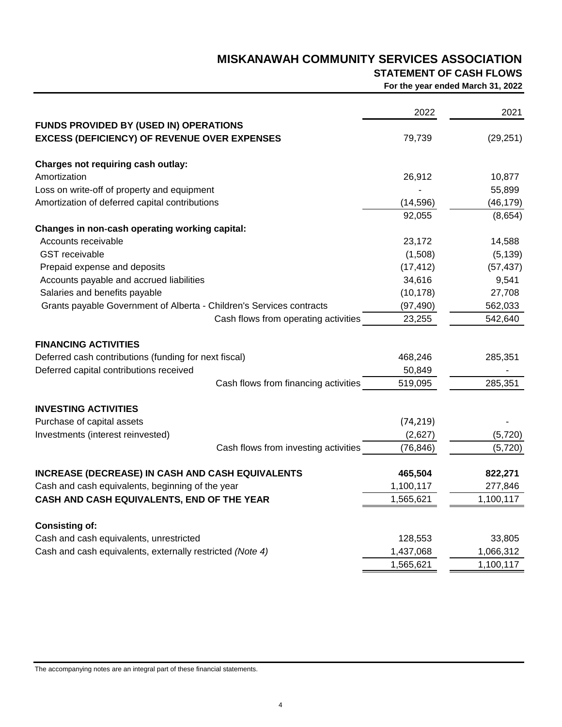# **STATEMENT OF CASH FLOWS**

**For the year ended March 31, 2022**

|                                                                      | 2022      | 2021      |
|----------------------------------------------------------------------|-----------|-----------|
| <b>FUNDS PROVIDED BY (USED IN) OPERATIONS</b>                        |           |           |
| <b>EXCESS (DEFICIENCY) OF REVENUE OVER EXPENSES</b>                  | 79,739    | (29, 251) |
| Charges not requiring cash outlay:                                   |           |           |
| Amortization                                                         | 26,912    | 10,877    |
| Loss on write-off of property and equipment                          |           | 55,899    |
| Amortization of deferred capital contributions                       | (14, 596) | (46, 179) |
|                                                                      | 92,055    | (8,654)   |
| Changes in non-cash operating working capital:                       |           |           |
| Accounts receivable                                                  | 23,172    | 14,588    |
| <b>GST</b> receivable                                                | (1,508)   | (5, 139)  |
| Prepaid expense and deposits                                         | (17, 412) | (57, 437) |
| Accounts payable and accrued liabilities                             | 34,616    | 9,541     |
| Salaries and benefits payable                                        | (10, 178) | 27,708    |
| Grants payable Government of Alberta - Children's Services contracts | (97, 490) | 562,033   |
| Cash flows from operating activities                                 | 23,255    | 542,640   |
| <b>FINANCING ACTIVITIES</b>                                          |           |           |
| Deferred cash contributions (funding for next fiscal)                | 468,246   | 285,351   |
| Deferred capital contributions received                              | 50,849    |           |
| Cash flows from financing activities                                 | 519,095   | 285,351   |
| <b>INVESTING ACTIVITIES</b>                                          |           |           |
| Purchase of capital assets                                           | (74, 219) |           |
| Investments (interest reinvested)                                    | (2,627)   | (5,720)   |
| Cash flows from investing activities                                 | (76, 846) | (5, 720)  |
| <b>INCREASE (DECREASE) IN CASH AND CASH EQUIVALENTS</b>              | 465,504   | 822,271   |
| Cash and cash equivalents, beginning of the year                     | 1,100,117 | 277,846   |
| CASH AND CASH EQUIVALENTS, END OF THE YEAR                           | 1,565,621 | 1,100,117 |
| <b>Consisting of:</b>                                                |           |           |
| Cash and cash equivalents, unrestricted                              | 128,553   | 33,805    |
| Cash and cash equivalents, externally restricted (Note 4)            | 1,437,068 | 1,066,312 |
|                                                                      | 1,565,621 | 1,100,117 |

The accompanying notes are an integral part of these financial statements.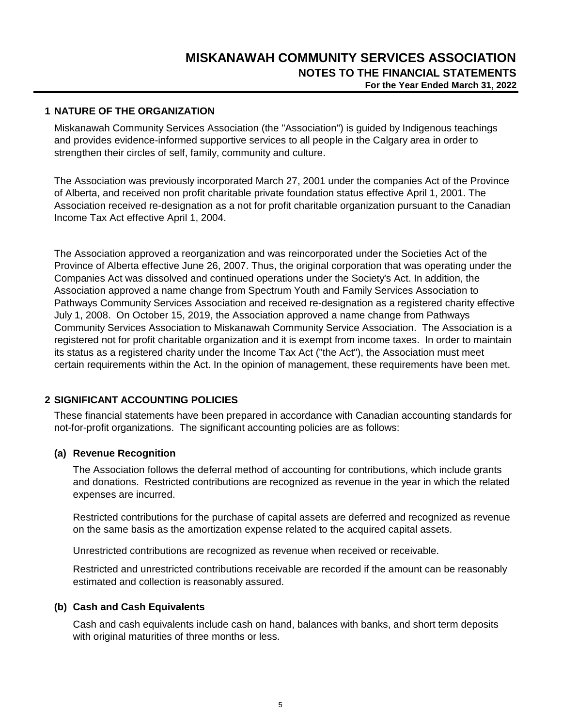### **1 NATURE OF THE ORGANIZATION**

Miskanawah Community Services Association (the "Association") is guided by Indigenous teachings and provides evidence-informed supportive services to all people in the Calgary area in order to strengthen their circles of self, family, community and culture.

The Association was previously incorporated March 27, 2001 under the companies Act of the Province of Alberta, and received non profit charitable private foundation status effective April 1, 2001. The Association received re-designation as a not for profit charitable organization pursuant to the Canadian Income Tax Act effective April 1, 2004.

The Association approved a reorganization and was reincorporated under the Societies Act of the Province of Alberta effective June 26, 2007. Thus, the original corporation that was operating under the Companies Act was dissolved and continued operations under the Society's Act. In addition, the Association approved a name change from Spectrum Youth and Family Services Association to Pathways Community Services Association and received re-designation as a registered charity effective July 1, 2008. On October 15, 2019, the Association approved a name change from Pathways Community Services Association to Miskanawah Community Service Association. The Association is a registered not for profit charitable organization and it is exempt from income taxes. In order to maintain its status as a registered charity under the Income Tax Act ("the Act"), the Association must meet certain requirements within the Act. In the opinion of management, these requirements have been met.

## **2 SIGNIFICANT ACCOUNTING POLICIES**

These financial statements have been prepared in accordance with Canadian accounting standards for not-for-profit organizations. The significant accounting policies are as follows:

## **(a) Revenue Recognition**

The Association follows the deferral method of accounting for contributions, which include grants and donations. Restricted contributions are recognized as revenue in the year in which the related expenses are incurred.

Restricted contributions for the purchase of capital assets are deferred and recognized as revenue on the same basis as the amortization expense related to the acquired capital assets.

Unrestricted contributions are recognized as revenue when received or receivable.

Restricted and unrestricted contributions receivable are recorded if the amount can be reasonably estimated and collection is reasonably assured.

#### **(b) Cash and Cash Equivalents**

Cash and cash equivalents include cash on hand, balances with banks, and short term deposits with original maturities of three months or less.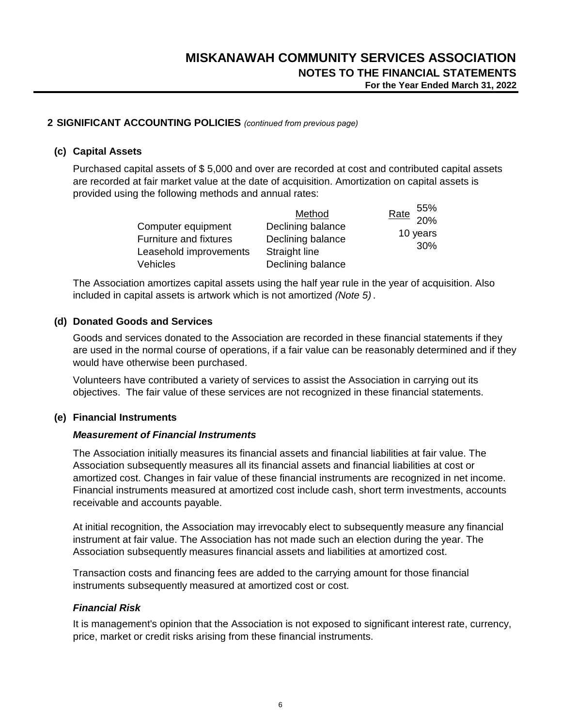$55<sub>5</sub>$ 

## **2 SIGNIFICANT ACCOUNTING POLICIES** *(continued from previous page)*

#### **(c) Capital Assets**

Purchased capital assets of \$ 5,000 and over are recorded at cost and contributed capital assets are recorded at fair market value at the date of acquisition. Amortization on capital assets is provided using the following methods and annual rates:

|                        | Method            | $\frac{\text{Rate}}{20\%}$ |
|------------------------|-------------------|----------------------------|
| Computer equipment     | Declining balance |                            |
| Furniture and fixtures | Declining balance | 10 years                   |
| Leasehold improvements | Straight line     | 30%                        |
| Vehicles               | Declining balance |                            |

The Association amortizes capital assets using the half year rule in the year of acquisition. Also included in capital assets is artwork which is not amortized *(Note 5)* .

## **(d) Donated Goods and Services**

Goods and services donated to the Association are recorded in these financial statements if they are used in the normal course of operations, if a fair value can be reasonably determined and if they would have otherwise been purchased.

Volunteers have contributed a variety of services to assist the Association in carrying out its objectives. The fair value of these services are not recognized in these financial statements.

#### **(e) Financial Instruments**

#### *Measurement of Financial Instruments*

The Association initially measures its financial assets and financial liabilities at fair value. The Association subsequently measures all its financial assets and financial liabilities at cost or amortized cost. Changes in fair value of these financial instruments are recognized in net income. Financial instruments measured at amortized cost include cash, short term investments, accounts receivable and accounts payable.

At initial recognition, the Association may irrevocably elect to subsequently measure any financial instrument at fair value. The Association has not made such an election during the year. The Association subsequently measures financial assets and liabilities at amortized cost.

Transaction costs and financing fees are added to the carrying amount for those financial instruments subsequently measured at amortized cost or cost.

#### *Financial Risk*

It is management's opinion that the Association is not exposed to significant interest rate, currency, price, market or credit risks arising from these financial instruments.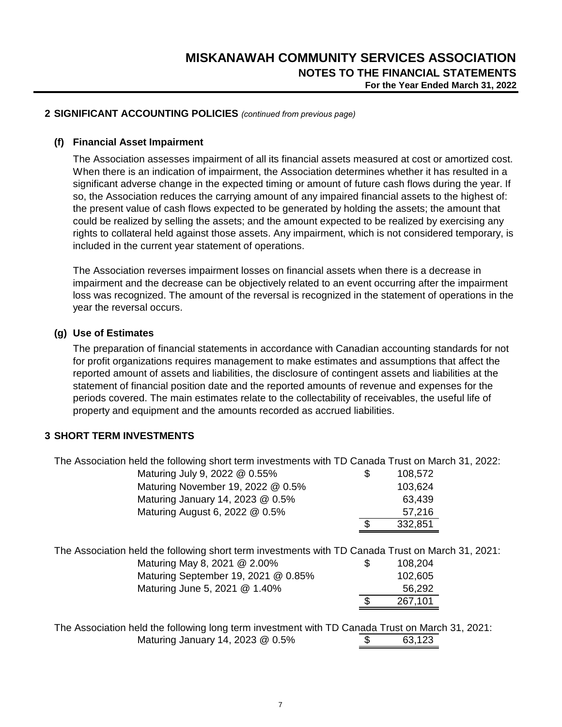## **2 SIGNIFICANT ACCOUNTING POLICIES** *(continued from previous page)*

#### **(f) Financial Asset Impairment**

The Association assesses impairment of all its financial assets measured at cost or amortized cost. When there is an indication of impairment, the Association determines whether it has resulted in a significant adverse change in the expected timing or amount of future cash flows during the year. If so, the Association reduces the carrying amount of any impaired financial assets to the highest of: the present value of cash flows expected to be generated by holding the assets; the amount that could be realized by selling the assets; and the amount expected to be realized by exercising any rights to collateral held against those assets. Any impairment, which is not considered temporary, is included in the current year statement of operations.

The Association reverses impairment losses on financial assets when there is a decrease in impairment and the decrease can be objectively related to an event occurring after the impairment loss was recognized. The amount of the reversal is recognized in the statement of operations in the year the reversal occurs.

#### **(g) Use of Estimates**

The preparation of financial statements in accordance with Canadian accounting standards for not for profit organizations requires management to make estimates and assumptions that affect the reported amount of assets and liabilities, the disclosure of contingent assets and liabilities at the statement of financial position date and the reported amounts of revenue and expenses for the periods covered. The main estimates relate to the collectability of receivables, the useful life of property and equipment and the amounts recorded as accrued liabilities.

## **3 SHORT TERM INVESTMENTS**

The Association held the following short term investments with TD Canada Trust on March 31, 2022:

| Maturing July 9, 2022 @ 0.55%                                                                                                                                                                             | \$<br>108,572                                 |  |
|-----------------------------------------------------------------------------------------------------------------------------------------------------------------------------------------------------------|-----------------------------------------------|--|
| Maturing November 19, 2022 @ 0.5%                                                                                                                                                                         | 103,624                                       |  |
| Maturing January 14, 2023 @ 0.5%                                                                                                                                                                          | 63,439                                        |  |
| Maturing August 6, 2022 @ 0.5%                                                                                                                                                                            | 57,216                                        |  |
|                                                                                                                                                                                                           | 332,851                                       |  |
| The Association held the following short term investments with TD Canada Trust on March 31, 2021:<br>Maturing May 8, 2021 @ 2.00%<br>Maturing September 19, 2021 @ 0.85%<br>Maturing June 5, 2021 @ 1.40% | \$<br>108,204<br>102,605<br>56,292<br>267,101 |  |
|                                                                                                                                                                                                           |                                               |  |
| The Association held the following long term investment with TD Canada Trust on March 31, 2021:                                                                                                           |                                               |  |

Maturing January 14, 2023 @ 0.5% <br>
\$ 63,123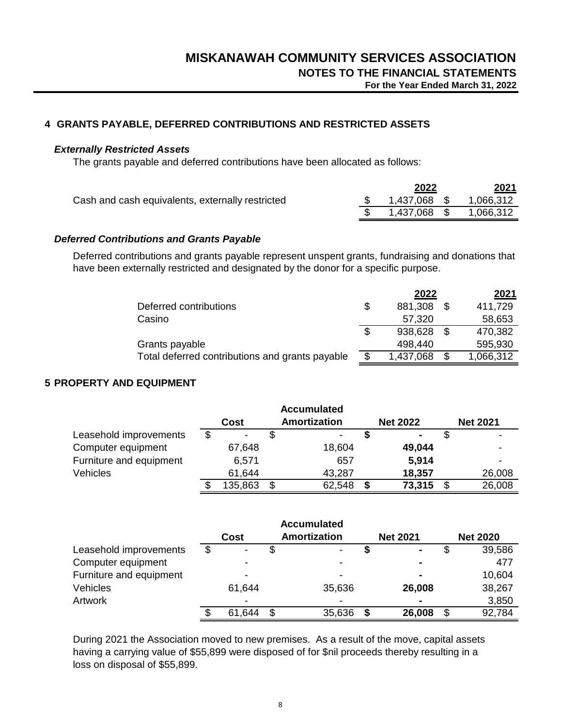## **4 GRANTS PAYABLE, DEFERRED CONTRIBUTIONS AND RESTRICTED ASSETS**

### *Externally Restricted Assets*

The grants payable and deferred contributions have been allocated as follows:

|                                                  | 2022         | 2021      |
|--------------------------------------------------|--------------|-----------|
| Cash and cash equivalents, externally restricted | 1,437,068 \$ | 1,066,312 |
|                                                  | 1,437,068 \$ | 1,066,312 |

### *Deferred Contributions and Grants Payable*

Deferred contributions and grants payable represent unspent grants, fundraising and donations that have been externally restricted and designated by the donor for a specific purpose.

|                                                 |   | 2022      | 2021      |
|-------------------------------------------------|---|-----------|-----------|
| Deferred contributions                          | S | 881,308   | 411,729   |
| Casino                                          |   | 57,320    | 58,653    |
|                                                 | S | 938,628   | 470,382   |
| Grants payable                                  |   | 498,440   | 595,930   |
| Total deferred contributions and grants payable |   | 1,437,068 | 1,066,312 |

## **5 PROPERTY AND EQUIPMENT**

|                         |    |         |              | <b>Accumulated</b> |  |                 |                 |
|-------------------------|----|---------|--------------|--------------------|--|-----------------|-----------------|
|                         |    | Cost    | Amortization |                    |  | <b>Net 2022</b> | <b>Net 2021</b> |
| Leasehold improvements  | \$ |         |              |                    |  | $\blacksquare$  |                 |
| Computer equipment      |    | 67,648  |              | 18,604             |  | 49,044          |                 |
| Furniture and equipment |    | 6,571   |              | 657                |  | 5,914           |                 |
| <b>Vehicles</b>         |    | 61,644  |              | 43,287             |  | 18,357          | 26,008          |
|                         |    | 135,863 |              | 62,548             |  | 73,315          | 26,008          |

|                         |   |                          | <b>Accumulated</b> |                 |    |                 |
|-------------------------|---|--------------------------|--------------------|-----------------|----|-----------------|
|                         |   | Cost                     | Amortization       | <b>Net 2021</b> |    | <b>Net 2020</b> |
| Leasehold improvements  | S | $\overline{\phantom{a}}$ | \$                 | $\blacksquare$  | S  | 39,586          |
| Computer equipment      |   |                          |                    | ۰               |    | 477             |
| Furniture and equipment |   |                          |                    | $\blacksquare$  |    | 10,604          |
| <b>Vehicles</b>         |   | 61,644                   | 35,636             | 26,008          |    | 38,267          |
| Artwork                 |   |                          |                    | $\blacksquare$  |    | 3,850           |
|                         |   | 61,644                   | \$<br>35,636       | 26,008          | S. | 92,784          |

During 2021 the Association moved to new premises. As a result of the move, capital assets having a carrying value of \$55,899 were disposed of for \$nil proceeds thereby resulting in a loss on disposal of \$55,899.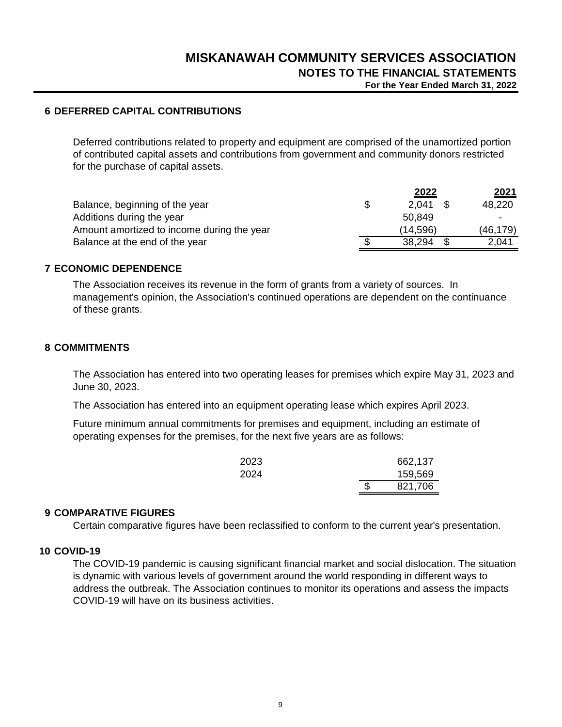## **6 DEFERRED CAPITAL CONTRIBUTIONS**

Deferred contributions related to property and equipment are comprised of the unamortized portion of contributed capital assets and contributions from government and community donors restricted for the purchase of capital assets.

|                                            | 2022      | 2021      |
|--------------------------------------------|-----------|-----------|
| Balance, beginning of the year             | 2.041     | 48,220    |
| Additions during the year                  | 50.849    |           |
| Amount amortized to income during the year | (14, 596) | (46, 179) |
| Balance at the end of the year             | 38,294    | 2,041     |
|                                            |           |           |

#### **7 ECONOMIC DEPENDENCE**

The Association receives its revenue in the form of grants from a variety of sources. In management's opinion, the Association's continued operations are dependent on the continuance of these grants.

#### **8 COMMITMENTS**

The Association has entered into two operating leases for premises which expire May 31, 2023 and June 30, 2023.

The Association has entered into an equipment operating lease which expires April 2023.

Future minimum annual commitments for premises and equipment, including an estimate of operating expenses for the premises, for the next five years are as follows:

| 2023 |   | 662,137 |
|------|---|---------|
| 2024 |   | 159,569 |
|      | S | 821,706 |

#### **9 COMPARATIVE FIGURES**

Certain comparative figures have been reclassified to conform to the current year's presentation.

## **10 COVID-19**

The COVID-19 pandemic is causing significant financial market and social dislocation. The situation is dynamic with various levels of government around the world responding in different ways to address the outbreak. The Association continues to monitor its operations and assess the impacts COVID-19 will have on its business activities.